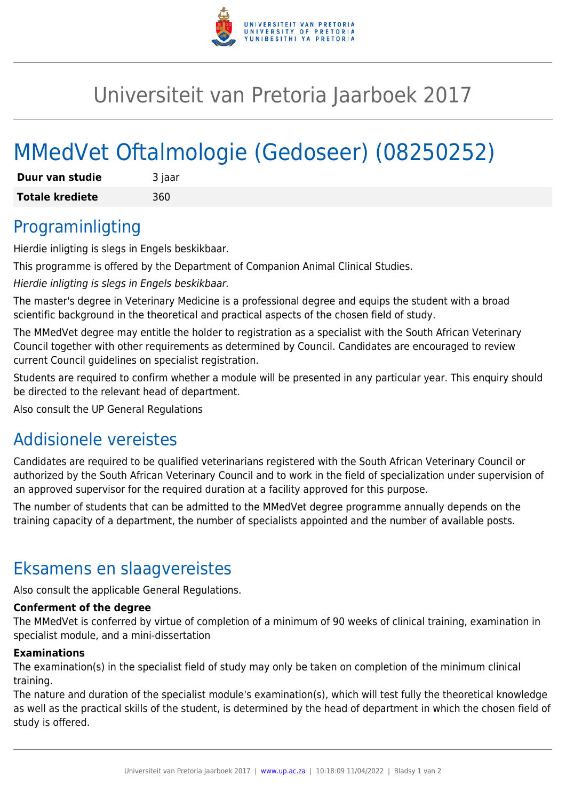

## Universiteit van Pretoria Jaarboek 2017

# MMedVet Oftalmologie (Gedoseer) (08250252)

| Duur van studie        | 3 jaar |
|------------------------|--------|
| <b>Totale krediete</b> | 360    |

### Programinligting

Hierdie inligting is slegs in Engels beskikbaar.

This programme is offered by the Department of Companion Animal Clinical Studies.

Hierdie inligting is slegs in Engels beskikbaar.

The master's degree in Veterinary Medicine is a professional degree and equips the student with a broad scientific background in the theoretical and practical aspects of the chosen field of study.

The MMedVet degree may entitle the holder to registration as a specialist with the South African Veterinary Council together with other requirements as determined by Council. Candidates are encouraged to review current Council guidelines on specialist registration.

Students are required to confirm whether a module will be presented in any particular year. This enquiry should be directed to the relevant head of department.

Also consult the UP General Regulations

### Addisionele vereistes

Candidates are required to be qualified veterinarians registered with the South African Veterinary Council or authorized by the South African Veterinary Council and to work in the field of specialization under supervision of an approved supervisor for the required duration at a facility approved for this purpose.

The number of students that can be admitted to the MMedVet degree programme annually depends on the training capacity of a department, the number of specialists appointed and the number of available posts.

### Eksamens en slaagvereistes

Also consult the applicable General Regulations.

#### **Conferment of the degree**

The MMedVet is conferred by virtue of completion of a minimum of 90 weeks of clinical training, examination in specialist module, and a mini-dissertation

#### **Examinations**

The examination(s) in the specialist field of study may only be taken on completion of the minimum clinical training.

The nature and duration of the specialist module's examination(s), which will test fully the theoretical knowledge as well as the practical skills of the student, is determined by the head of department in which the chosen field of study is offered.